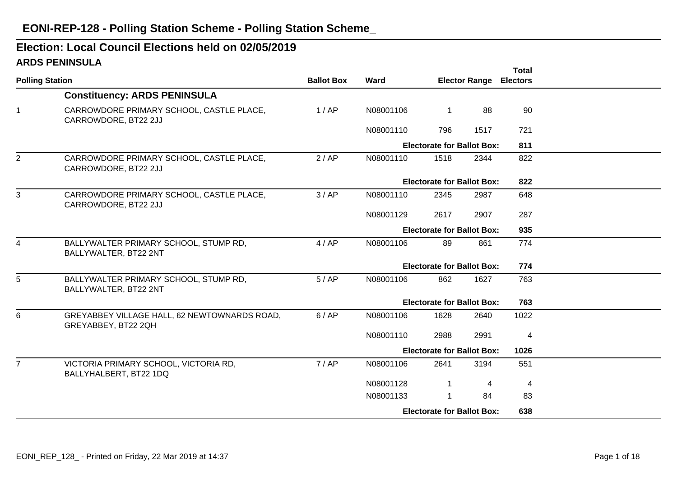# **EONI-REP-128 - Polling Station Scheme - Polling Station Scheme\_**

# **ARDS PENINSULAElection: Local Council Elections held on 02/05/2019**

|                        |                                                                     |                   |           |                                   |                      | <b>Total</b>    |  |
|------------------------|---------------------------------------------------------------------|-------------------|-----------|-----------------------------------|----------------------|-----------------|--|
| <b>Polling Station</b> |                                                                     | <b>Ballot Box</b> | Ward      |                                   | <b>Elector Range</b> | <b>Electors</b> |  |
|                        | <b>Constituency: ARDS PENINSULA</b>                                 |                   |           |                                   |                      |                 |  |
| $\mathbf{1}$           | CARROWDORE PRIMARY SCHOOL, CASTLE PLACE,<br>CARROWDORE, BT22 2JJ    | 1/AP              | N08001106 | $\mathbf{1}$                      | 88                   | 90              |  |
|                        |                                                                     |                   | N08001110 | 796                               | 1517                 | 721             |  |
|                        |                                                                     |                   |           | <b>Electorate for Ballot Box:</b> |                      | 811             |  |
| $\overline{2}$         | CARROWDORE PRIMARY SCHOOL, CASTLE PLACE,<br>CARROWDORE, BT22 2JJ    | 2/AP              | N08001110 | 1518                              | 2344                 | 822             |  |
|                        |                                                                     |                   |           | <b>Electorate for Ballot Box:</b> |                      | 822             |  |
| $\mathbf{3}$           | CARROWDORE PRIMARY SCHOOL, CASTLE PLACE,<br>CARROWDORE, BT22 2JJ    | 3/AP              | N08001110 | 2345                              | 2987                 | 648             |  |
|                        |                                                                     |                   | N08001129 | 2617                              | 2907                 | 287             |  |
|                        |                                                                     |                   |           | <b>Electorate for Ballot Box:</b> |                      | 935             |  |
| 4                      | BALLYWALTER PRIMARY SCHOOL, STUMP RD,<br>BALLYWALTER, BT22 2NT      | 4/AP              | N08001106 | 89                                | 861                  | 774             |  |
|                        |                                                                     |                   |           | <b>Electorate for Ballot Box:</b> |                      | 774             |  |
| 5                      | BALLYWALTER PRIMARY SCHOOL, STUMP RD,<br>BALLYWALTER, BT22 2NT      | 5/AP              | N08001106 | 862                               | 1627                 | 763             |  |
|                        |                                                                     |                   |           | <b>Electorate for Ballot Box:</b> |                      | 763             |  |
| 6                      | GREYABBEY VILLAGE HALL, 62 NEWTOWNARDS ROAD,<br>GREYABBEY, BT22 2QH | 6/AP              | N08001106 | 1628                              | 2640                 | 1022            |  |
|                        |                                                                     |                   | N08001110 | 2988                              | 2991                 | $\overline{4}$  |  |
|                        |                                                                     |                   |           | <b>Electorate for Ballot Box:</b> |                      | 1026            |  |
| $\overline{7}$         | VICTORIA PRIMARY SCHOOL, VICTORIA RD,<br>BALLYHALBERT, BT22 1DQ     | 7/AP              | N08001106 | 2641                              | 3194                 | 551             |  |
|                        |                                                                     |                   | N08001128 | $\mathbf{1}$                      | 4                    | 4               |  |
|                        |                                                                     |                   | N08001133 | $\mathbf 1$                       | 84                   | 83              |  |
|                        |                                                                     |                   |           | <b>Electorate for Ballot Box:</b> |                      | 638             |  |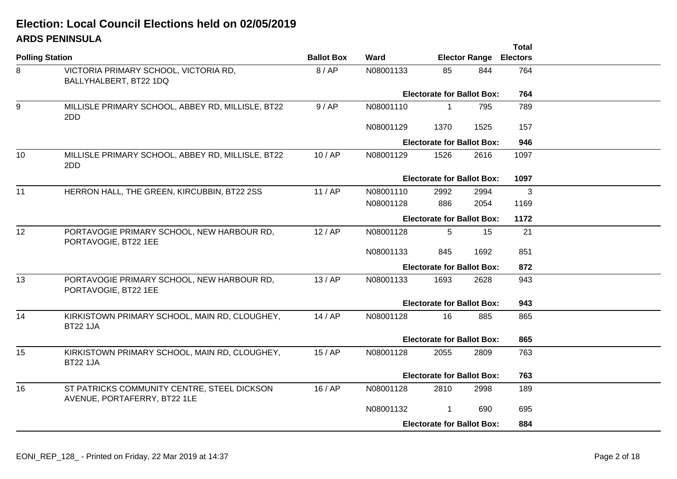# **ARDS PENINSULAElection: Local Council Elections held on 02/05/2019**

|                        | ARDU I ERIRUULA                                                             |                   |                                   |                                   |                      | <b>Total</b>    |  |
|------------------------|-----------------------------------------------------------------------------|-------------------|-----------------------------------|-----------------------------------|----------------------|-----------------|--|
| <b>Polling Station</b> |                                                                             | <b>Ballot Box</b> | Ward                              |                                   | <b>Elector Range</b> | <b>Electors</b> |  |
| 8                      | VICTORIA PRIMARY SCHOOL, VICTORIA RD,<br>BALLYHALBERT, BT22 1DQ             | 8/AP              | N08001133                         | 85                                | 844                  | 764             |  |
|                        |                                                                             |                   |                                   | <b>Electorate for Ballot Box:</b> |                      | 764             |  |
| 9                      | MILLISLE PRIMARY SCHOOL, ABBEY RD, MILLISLE, BT22<br>2DD                    | 9/AP              | N08001110                         | $\mathbf 1$                       | 795                  | 789             |  |
|                        |                                                                             |                   | N08001129                         | 1370                              | 1525                 | 157             |  |
|                        |                                                                             |                   |                                   | <b>Electorate for Ballot Box:</b> |                      | 946             |  |
| 10                     | MILLISLE PRIMARY SCHOOL, ABBEY RD, MILLISLE, BT22<br>2DD                    | 10/AP             | N08001129                         | 1526                              | 2616                 | 1097            |  |
|                        |                                                                             |                   | <b>Electorate for Ballot Box:</b> |                                   |                      |                 |  |
| 11                     | HERRON HALL, THE GREEN, KIRCUBBIN, BT22 2SS                                 | 11/AP             | N08001110                         | 2992                              | 2994                 | 3               |  |
|                        |                                                                             |                   | N08001128                         | 886                               | 2054                 | 1169            |  |
|                        |                                                                             |                   | <b>Electorate for Ballot Box:</b> |                                   |                      |                 |  |
| 12                     | PORTAVOGIE PRIMARY SCHOOL, NEW HARBOUR RD,<br>PORTAVOGIE, BT22 1EE          | 12/AP             | N08001128                         | 5                                 | 15                   | 21              |  |
|                        |                                                                             |                   | N08001133                         | 845                               | 1692                 | 851             |  |
|                        |                                                                             |                   |                                   | <b>Electorate for Ballot Box:</b> |                      | 872             |  |
| 13                     | PORTAVOGIE PRIMARY SCHOOL, NEW HARBOUR RD,<br>PORTAVOGIE, BT22 1EE          | 13/AP             | N08001133                         | 1693                              | 2628                 | 943             |  |
|                        |                                                                             |                   |                                   | <b>Electorate for Ballot Box:</b> |                      | 943             |  |
| 14                     | KIRKISTOWN PRIMARY SCHOOL, MAIN RD, CLOUGHEY,<br><b>BT22 1JA</b>            | 14/AP             | N08001128                         | 16                                | 885                  | 865             |  |
|                        |                                                                             |                   |                                   | <b>Electorate for Ballot Box:</b> |                      | 865             |  |
| 15                     | KIRKISTOWN PRIMARY SCHOOL, MAIN RD, CLOUGHEY,<br><b>BT22 1JA</b>            | 15/AP             | N08001128                         | 2055                              | 2809                 | 763             |  |
|                        |                                                                             |                   |                                   | <b>Electorate for Ballot Box:</b> |                      | 763             |  |
| 16                     | ST PATRICKS COMMUNITY CENTRE, STEEL DICKSON<br>AVENUE, PORTAFERRY, BT22 1LE | 16/AP             | N08001128                         | 2810                              | 2998                 | 189             |  |
|                        |                                                                             |                   | N08001132                         | 1                                 | 690                  | 695             |  |
|                        |                                                                             |                   |                                   | <b>Electorate for Ballot Box:</b> |                      | 884             |  |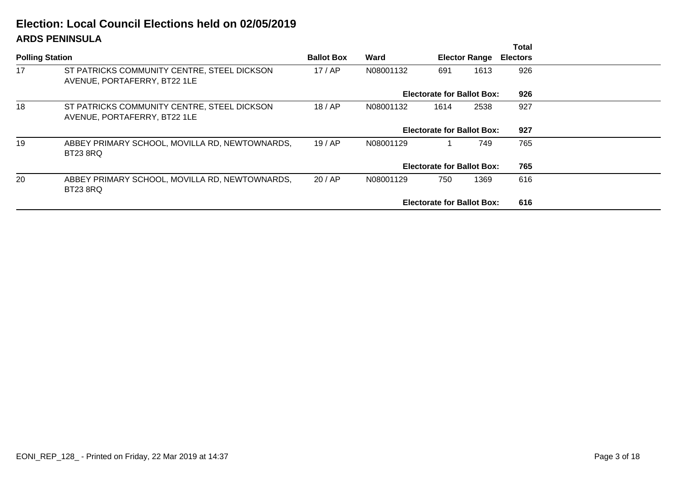# **ARDS PENINSULAElection: Local Council Elections held on 02/05/2019**

|                        | ARS LERISSOLA                                                               |                   |           |                                   |                      | <b>Total</b>    |  |
|------------------------|-----------------------------------------------------------------------------|-------------------|-----------|-----------------------------------|----------------------|-----------------|--|
| <b>Polling Station</b> |                                                                             | <b>Ballot Box</b> | Ward      |                                   | <b>Elector Range</b> | <b>Electors</b> |  |
| 17                     | ST PATRICKS COMMUNITY CENTRE, STEEL DICKSON<br>AVENUE, PORTAFERRY, BT22 1LE | 17/AP             | N08001132 | 691                               | 1613                 | 926             |  |
|                        |                                                                             |                   |           | <b>Electorate for Ballot Box:</b> |                      | 926             |  |
| 18                     | ST PATRICKS COMMUNITY CENTRE, STEEL DICKSON<br>AVENUE, PORTAFERRY, BT22 1LE | 18/AP             | N08001132 | 1614                              | 2538                 | 927             |  |
|                        |                                                                             |                   |           | <b>Electorate for Ballot Box:</b> |                      | 927             |  |
| 19                     | ABBEY PRIMARY SCHOOL, MOVILLA RD, NEWTOWNARDS,<br><b>BT23 8RQ</b>           | 19/AP             | N08001129 |                                   | 765                  |                 |  |
|                        |                                                                             |                   |           | <b>Electorate for Ballot Box:</b> |                      | 765             |  |
| 20                     | ABBEY PRIMARY SCHOOL, MOVILLA RD, NEWTOWNARDS,<br><b>BT23 8RQ</b>           | 20/AP             | N08001129 | 750                               | 1369                 | 616             |  |
|                        |                                                                             |                   |           | <b>Electorate for Ballot Box:</b> |                      | 616             |  |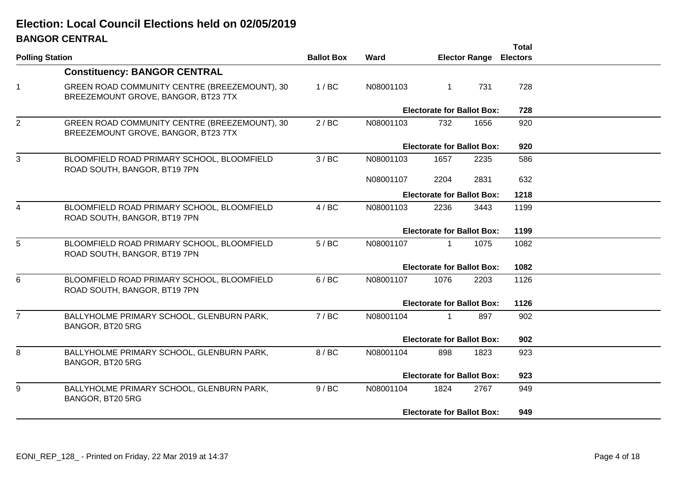# **BANGOR CENTRALElection: Local Council Elections held on 02/05/2019**

|                        |                                                                                      |                   |           |                                   |                      | <b>Total</b>    |  |
|------------------------|--------------------------------------------------------------------------------------|-------------------|-----------|-----------------------------------|----------------------|-----------------|--|
| <b>Polling Station</b> |                                                                                      | <b>Ballot Box</b> | Ward      |                                   | <b>Elector Range</b> | <b>Electors</b> |  |
|                        | <b>Constituency: BANGOR CENTRAL</b>                                                  |                   |           |                                   |                      |                 |  |
| $\mathbf 1$            | GREEN ROAD COMMUNITY CENTRE (BREEZEMOUNT), 30<br>BREEZEMOUNT GROVE, BANGOR, BT23 7TX | 1/BC              | N08001103 | $\overline{1}$                    | 731                  | 728             |  |
|                        |                                                                                      |                   |           | <b>Electorate for Ballot Box:</b> |                      | 728             |  |
| $\overline{2}$         | GREEN ROAD COMMUNITY CENTRE (BREEZEMOUNT), 30<br>BREEZEMOUNT GROVE, BANGOR, BT23 7TX | 2/BC              | N08001103 | 732                               | 1656                 | 920             |  |
|                        |                                                                                      |                   |           | <b>Electorate for Ballot Box:</b> |                      | 920             |  |
| 3                      | BLOOMFIELD ROAD PRIMARY SCHOOL, BLOOMFIELD<br>ROAD SOUTH, BANGOR, BT19 7PN           | 3/BC              | N08001103 | 1657                              | 2235                 | 586             |  |
|                        |                                                                                      |                   | N08001107 | 2204                              | 2831                 | 632             |  |
|                        |                                                                                      |                   |           | <b>Electorate for Ballot Box:</b> |                      | 1218            |  |
| 4                      | BLOOMFIELD ROAD PRIMARY SCHOOL, BLOOMFIELD<br>ROAD SOUTH, BANGOR, BT19 7PN           | 4/BC              | N08001103 | 2236                              | 3443                 | 1199            |  |
|                        |                                                                                      |                   |           | <b>Electorate for Ballot Box:</b> |                      | 1199            |  |
| 5                      | BLOOMFIELD ROAD PRIMARY SCHOOL, BLOOMFIELD<br>ROAD SOUTH, BANGOR, BT19 7PN           | 5/BC              | N08001107 | $\mathbf{1}$                      | 1075                 | 1082            |  |
|                        |                                                                                      |                   |           | <b>Electorate for Ballot Box:</b> |                      | 1082            |  |
| 6                      | BLOOMFIELD ROAD PRIMARY SCHOOL, BLOOMFIELD<br>ROAD SOUTH, BANGOR, BT19 7PN           | 6/BC              | N08001107 | 1076                              | 2203                 | 1126            |  |
|                        |                                                                                      |                   |           | <b>Electorate for Ballot Box:</b> |                      | 1126            |  |
| $\overline{7}$         | BALLYHOLME PRIMARY SCHOOL, GLENBURN PARK,<br>BANGOR, BT20 5RG                        | 7/BC              | N08001104 | 1                                 | 897                  | 902             |  |
|                        |                                                                                      |                   |           | <b>Electorate for Ballot Box:</b> |                      | 902             |  |
| 8                      | BALLYHOLME PRIMARY SCHOOL, GLENBURN PARK,<br>BANGOR, BT20 5RG                        | 8 / BC            | N08001104 | 898                               | 1823                 | 923             |  |
|                        |                                                                                      |                   |           | <b>Electorate for Ballot Box:</b> |                      | 923             |  |
| 9                      | BALLYHOLME PRIMARY SCHOOL, GLENBURN PARK,<br>BANGOR, BT20 5RG                        | 9/BC              | N08001104 | 1824                              | 2767                 | 949             |  |
|                        |                                                                                      |                   |           | <b>Electorate for Ballot Box:</b> |                      | 949             |  |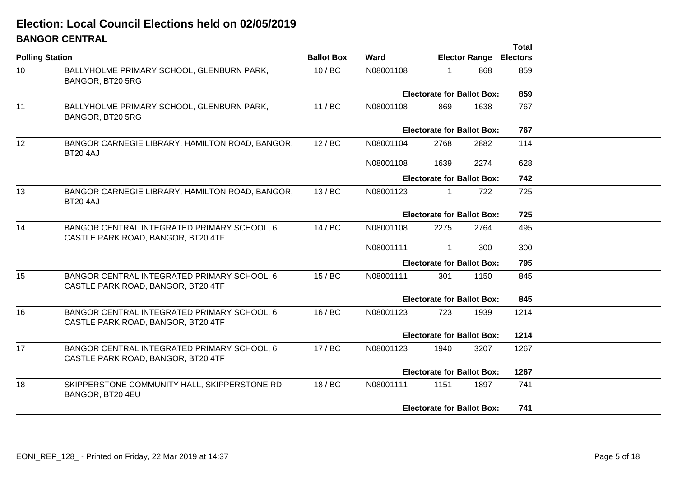# **BANGOR CENTRALElection: Local Council Elections held on 02/05/2019**

|                 | PANSON JENTIMAE                                                                   |                   |                                   |                                   |                      | <b>Total</b>    |  |
|-----------------|-----------------------------------------------------------------------------------|-------------------|-----------------------------------|-----------------------------------|----------------------|-----------------|--|
|                 | <b>Polling Station</b>                                                            | <b>Ballot Box</b> | Ward                              |                                   | <b>Elector Range</b> | <b>Electors</b> |  |
| 10 <sup>°</sup> | BALLYHOLME PRIMARY SCHOOL, GLENBURN PARK,<br>BANGOR, BT20 5RG                     | 10/BC             | N08001108                         | $\mathbf{1}$                      | 868                  | 859             |  |
|                 |                                                                                   |                   |                                   | <b>Electorate for Ballot Box:</b> |                      | 859             |  |
| 11              | BALLYHOLME PRIMARY SCHOOL, GLENBURN PARK,<br>BANGOR, BT20 5RG                     | 11 / BC           | N08001108                         | 869                               | 1638                 | 767             |  |
|                 |                                                                                   |                   |                                   | <b>Electorate for Ballot Box:</b> |                      | 767             |  |
| 12              | BANGOR CARNEGIE LIBRARY, HAMILTON ROAD, BANGOR,<br><b>BT20 4AJ</b>                | 12/BC             | N08001104                         | 2768                              | 2882                 | 114             |  |
|                 |                                                                                   |                   | N08001108                         | 1639                              | 2274                 | 628             |  |
|                 |                                                                                   |                   |                                   | <b>Electorate for Ballot Box:</b> |                      | 742             |  |
| 13              | BANGOR CARNEGIE LIBRARY, HAMILTON ROAD, BANGOR,<br><b>BT20 4AJ</b>                | 13/BC             | N08001123                         | $\mathbf{1}$                      | 722                  | 725             |  |
|                 |                                                                                   |                   |                                   | <b>Electorate for Ballot Box:</b> |                      | 725             |  |
| 14              | BANGOR CENTRAL INTEGRATED PRIMARY SCHOOL, 6<br>CASTLE PARK ROAD, BANGOR, BT20 4TF | 14 / BC           | N08001108                         | 2275                              | 2764                 | 495             |  |
|                 |                                                                                   |                   | N08001111                         | $\mathbf{1}$                      | 300                  | 300             |  |
|                 |                                                                                   |                   |                                   | <b>Electorate for Ballot Box:</b> |                      | 795             |  |
| 15              | BANGOR CENTRAL INTEGRATED PRIMARY SCHOOL, 6<br>CASTLE PARK ROAD, BANGOR, BT20 4TF | 15/BC             | N08001111                         | 301                               | 1150                 | 845             |  |
|                 |                                                                                   |                   | <b>Electorate for Ballot Box:</b> |                                   |                      | 845             |  |
| 16              | BANGOR CENTRAL INTEGRATED PRIMARY SCHOOL, 6<br>CASTLE PARK ROAD, BANGOR, BT20 4TF | 16/BC             | N08001123                         | 723                               | 1939                 | 1214            |  |
|                 |                                                                                   |                   |                                   | <b>Electorate for Ballot Box:</b> |                      | 1214            |  |
| 17              | BANGOR CENTRAL INTEGRATED PRIMARY SCHOOL, 6<br>CASTLE PARK ROAD, BANGOR, BT20 4TF | 17 / BC           | N08001123                         | 1940                              | 3207                 | 1267            |  |
|                 |                                                                                   |                   |                                   | <b>Electorate for Ballot Box:</b> |                      | 1267            |  |
| 18              | SKIPPERSTONE COMMUNITY HALL, SKIPPERSTONE RD,<br>BANGOR, BT20 4EU                 | 18 / BC           | N08001111                         | 1151                              | 1897                 | 741             |  |
|                 |                                                                                   |                   |                                   | <b>Electorate for Ballot Box:</b> |                      | 741             |  |
|                 |                                                                                   |                   |                                   |                                   |                      |                 |  |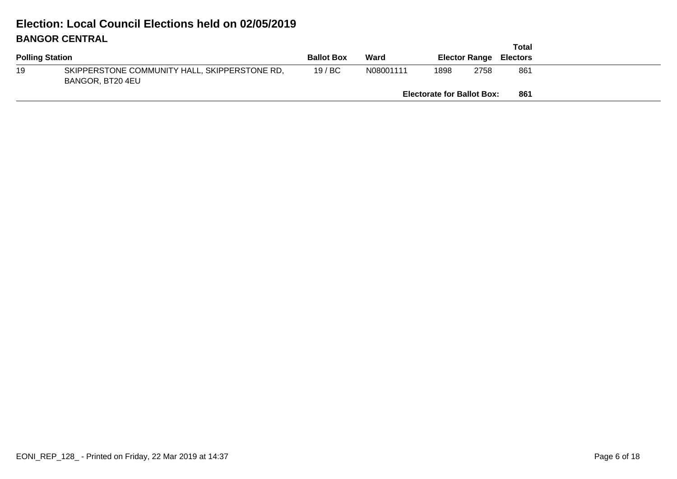# **BANGOR CENTRALElection: Local Council Elections held on 02/05/2019**

|                        |                                                                   |                   |           |                                   |      | Total                         |  |
|------------------------|-------------------------------------------------------------------|-------------------|-----------|-----------------------------------|------|-------------------------------|--|
| <b>Polling Station</b> |                                                                   | <b>Ballot Box</b> | Ward      |                                   |      | <b>Elector Range Electors</b> |  |
| 19                     | SKIPPERSTONE COMMUNITY HALL, SKIPPERSTONE RD,<br>BANGOR, BT20 4EU | 19/BC             | N08001111 | 1898                              | 2758 | 861                           |  |
|                        |                                                                   |                   |           | <b>Electorate for Ballot Box:</b> |      | 861                           |  |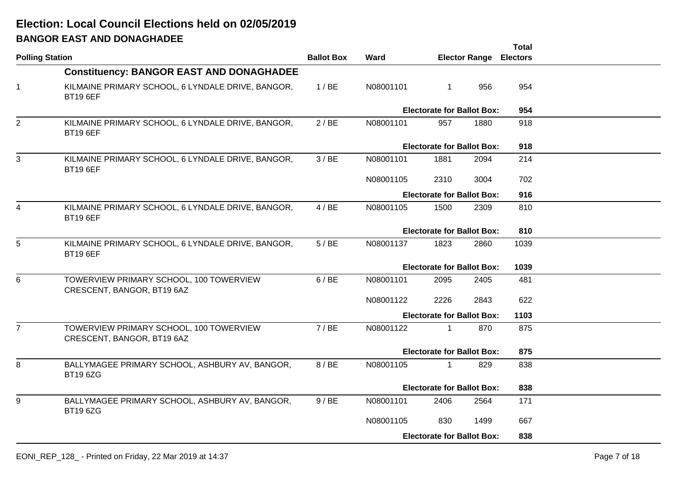# **BANGOR EAST AND DONAGHADEEElection: Local Council Elections held on 02/05/2019**

|                        |                                                                       |                   |           |                                   |                      | <b>Total</b>    |  |
|------------------------|-----------------------------------------------------------------------|-------------------|-----------|-----------------------------------|----------------------|-----------------|--|
| <b>Polling Station</b> |                                                                       | <b>Ballot Box</b> | Ward      |                                   | <b>Elector Range</b> | <b>Electors</b> |  |
|                        | <b>Constituency: BANGOR EAST AND DONAGHADEE</b>                       |                   |           |                                   |                      |                 |  |
| $\overline{1}$         | KILMAINE PRIMARY SCHOOL, 6 LYNDALE DRIVE, BANGOR,<br><b>BT19 6EF</b>  | 1/BE              | N08001101 | $\mathbf 1$                       | 956                  | 954             |  |
|                        |                                                                       |                   |           | <b>Electorate for Ballot Box:</b> |                      | 954             |  |
| $\overline{2}$         | KILMAINE PRIMARY SCHOOL, 6 LYNDALE DRIVE, BANGOR,<br><b>BT19 6EF</b>  | 2/BE              | N08001101 | 957                               | 1880                 | 918             |  |
|                        |                                                                       |                   |           | <b>Electorate for Ballot Box:</b> |                      | 918             |  |
| 3                      | KILMAINE PRIMARY SCHOOL, 6 LYNDALE DRIVE, BANGOR,<br><b>BT19 6EF</b>  | 3/BE              | N08001101 | 1881                              | 2094                 | 214             |  |
|                        |                                                                       |                   | N08001105 | 2310                              | 3004                 | 702             |  |
|                        |                                                                       |                   |           | <b>Electorate for Ballot Box:</b> |                      | 916             |  |
| 4                      | KILMAINE PRIMARY SCHOOL, 6 LYNDALE DRIVE, BANGOR,<br><b>BT19 6EF</b>  | 4/BE              | N08001105 | 1500                              | 2309                 | 810             |  |
|                        |                                                                       |                   |           | <b>Electorate for Ballot Box:</b> |                      | 810             |  |
| 5                      | KILMAINE PRIMARY SCHOOL, 6 LYNDALE DRIVE, BANGOR,<br><b>BT19 6EF</b>  | 5/BE              | N08001137 | 1823                              | 2860                 | 1039            |  |
|                        |                                                                       |                   |           | <b>Electorate for Ballot Box:</b> |                      | 1039            |  |
| 6                      | TOWERVIEW PRIMARY SCHOOL, 100 TOWERVIEW<br>CRESCENT, BANGOR, BT19 6AZ | 6/BE              | N08001101 | 2095                              | 2405                 | 481             |  |
|                        |                                                                       |                   | N08001122 | 2226                              | 2843                 | 622             |  |
|                        |                                                                       |                   |           | <b>Electorate for Ballot Box:</b> |                      | 1103            |  |
| $\overline{7}$         | TOWERVIEW PRIMARY SCHOOL, 100 TOWERVIEW<br>CRESCENT, BANGOR, BT19 6AZ | 7/BE              | N08001122 | $\mathbf 1$                       | 870                  | 875             |  |
|                        |                                                                       |                   |           | <b>Electorate for Ballot Box:</b> | 875                  |                 |  |
| 8                      | BALLYMAGEE PRIMARY SCHOOL, ASHBURY AV, BANGOR,<br><b>BT19 6ZG</b>     | 8 / BE            | N08001105 | $\mathbf 1$                       | 829                  | 838             |  |
|                        |                                                                       |                   |           | <b>Electorate for Ballot Box:</b> |                      | 838             |  |
| 9                      | BALLYMAGEE PRIMARY SCHOOL, ASHBURY AV, BANGOR,<br><b>BT19 6ZG</b>     | 9/BE              | N08001101 | 2406                              | 2564                 | 171             |  |
|                        |                                                                       |                   | N08001105 | 830                               | 1499                 | 667             |  |
|                        |                                                                       |                   |           | <b>Electorate for Ballot Box:</b> |                      | 838             |  |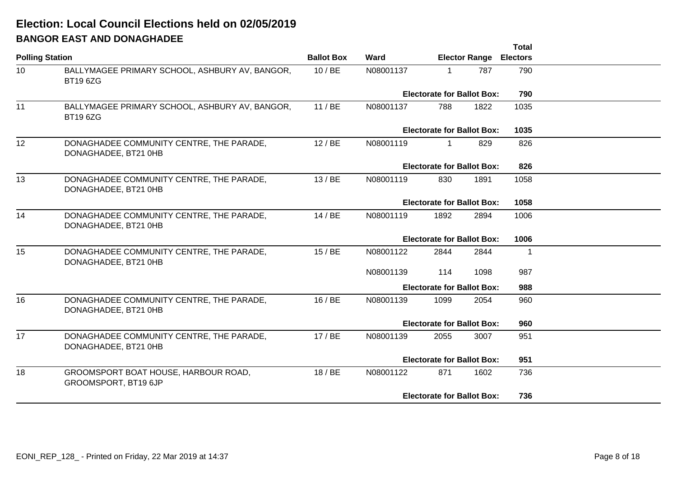# **BANGOR EAST AND DONAGHADEEElection: Local Council Elections held on 02/05/2019**

|                        |                                                                   |                   |           |                                   |                      | <b>Total</b>    |  |
|------------------------|-------------------------------------------------------------------|-------------------|-----------|-----------------------------------|----------------------|-----------------|--|
| <b>Polling Station</b> |                                                                   | <b>Ballot Box</b> | Ward      |                                   | <b>Elector Range</b> | <b>Electors</b> |  |
| 10 <sup>°</sup>        | BALLYMAGEE PRIMARY SCHOOL, ASHBURY AV, BANGOR,<br><b>BT19 6ZG</b> | 10/BE             | N08001137 | 1                                 | 787                  | 790             |  |
|                        |                                                                   |                   |           | <b>Electorate for Ballot Box:</b> |                      | 790             |  |
| 11                     | BALLYMAGEE PRIMARY SCHOOL, ASHBURY AV, BANGOR,<br><b>BT19 6ZG</b> | 11/BE             | N08001137 | 788                               | 1822                 | 1035            |  |
|                        |                                                                   |                   |           | <b>Electorate for Ballot Box:</b> |                      | 1035            |  |
| 12                     | DONAGHADEE COMMUNITY CENTRE, THE PARADE,<br>DONAGHADEE, BT21 0HB  | 12/BE             | N08001119 | $\mathbf{1}$                      | 829                  | 826             |  |
|                        |                                                                   |                   |           | <b>Electorate for Ballot Box:</b> |                      | 826             |  |
| 13                     | DONAGHADEE COMMUNITY CENTRE, THE PARADE,<br>DONAGHADEE, BT21 0HB  | 13/BE             | N08001119 | 830                               | 1891                 | 1058            |  |
|                        |                                                                   |                   |           | <b>Electorate for Ballot Box:</b> |                      | 1058            |  |
| 14                     | DONAGHADEE COMMUNITY CENTRE, THE PARADE,<br>DONAGHADEE, BT21 0HB  | 14/BE             | N08001119 | 1892                              | 2894                 | 1006            |  |
|                        |                                                                   |                   |           | <b>Electorate for Ballot Box:</b> |                      | 1006            |  |
| 15                     | DONAGHADEE COMMUNITY CENTRE, THE PARADE,<br>DONAGHADEE, BT21 0HB  | 15/BE             | N08001122 | 2844                              | 2844                 | -1              |  |
|                        |                                                                   |                   | N08001139 | 114                               | 1098                 | 987             |  |
|                        |                                                                   |                   |           | <b>Electorate for Ballot Box:</b> |                      | 988             |  |
| 16                     | DONAGHADEE COMMUNITY CENTRE, THE PARADE,<br>DONAGHADEE, BT21 0HB  | 16/BE             | N08001139 | 1099                              | 2054                 | 960             |  |
|                        |                                                                   |                   |           | <b>Electorate for Ballot Box:</b> |                      | 960             |  |
| 17                     | DONAGHADEE COMMUNITY CENTRE, THE PARADE,<br>DONAGHADEE, BT21 0HB  | 17/BE             | N08001139 | 2055                              | 3007                 | 951             |  |
|                        |                                                                   |                   |           | <b>Electorate for Ballot Box:</b> |                      | 951             |  |
| 18                     | GROOMSPORT BOAT HOUSE, HARBOUR ROAD,<br>GROOMSPORT, BT19 6JP      | 18/BE             | N08001122 | 871                               | 1602                 | 736             |  |
|                        |                                                                   |                   |           | <b>Electorate for Ballot Box:</b> |                      | 736             |  |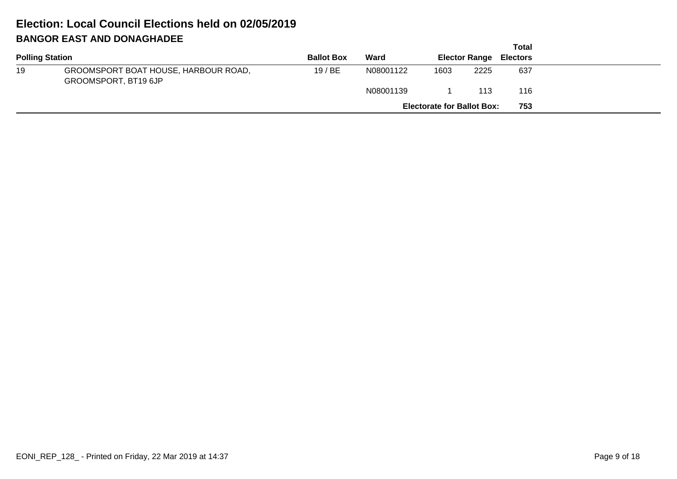# **BANGOR EAST AND DONAGHADEEElection: Local Council Elections held on 02/05/2019**

|    |                                                              |                   |           |                                   |      | Total                         |
|----|--------------------------------------------------------------|-------------------|-----------|-----------------------------------|------|-------------------------------|
|    | <b>Polling Station</b>                                       | <b>Ballot Box</b> | Ward      |                                   |      | <b>Elector Range Electors</b> |
| 19 | GROOMSPORT BOAT HOUSE, HARBOUR ROAD,<br>GROOMSPORT, BT19 6JP | 19/BE             | N08001122 | 1603                              | 2225 | 637                           |
|    |                                                              |                   | N08001139 |                                   | 113  | 116                           |
|    |                                                              |                   |           | <b>Electorate for Ballot Box:</b> |      | 753                           |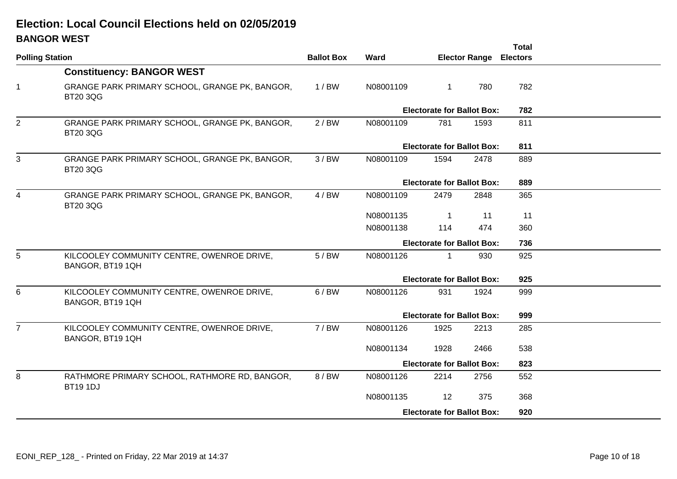# **BANGOR WESTElection: Local Council Elections held on 02/05/2019**

|                |                                                                   |         |           |                                   |                      | <b>Total</b>    |  |
|----------------|-------------------------------------------------------------------|---------|-----------|-----------------------------------|----------------------|-----------------|--|
|                | <b>Polling Station</b>                                            |         | Ward      |                                   | <b>Elector Range</b> | <b>Electors</b> |  |
|                | <b>Constituency: BANGOR WEST</b>                                  |         |           |                                   |                      |                 |  |
| $\mathbf 1$    | GRANGE PARK PRIMARY SCHOOL, GRANGE PK, BANGOR,<br><b>BT20 3QG</b> | $1/$ BW | N08001109 | $\mathbf{1}$                      | 780                  | 782             |  |
|                |                                                                   |         |           | <b>Electorate for Ballot Box:</b> |                      | 782             |  |
| $\overline{2}$ | GRANGE PARK PRIMARY SCHOOL, GRANGE PK, BANGOR,<br><b>BT20 3QG</b> | 2/BW    | N08001109 | 781                               | 1593                 | 811             |  |
|                |                                                                   |         |           | <b>Electorate for Ballot Box:</b> |                      | 811             |  |
| 3              | GRANGE PARK PRIMARY SCHOOL, GRANGE PK, BANGOR,<br><b>BT20 3QG</b> | 3/BW    | N08001109 | 1594                              | 2478                 | 889             |  |
|                |                                                                   |         |           | <b>Electorate for Ballot Box:</b> |                      | 889             |  |
| 4              | GRANGE PARK PRIMARY SCHOOL, GRANGE PK, BANGOR,<br><b>BT20 3QG</b> | 4/BW    | N08001109 | 2479                              | 2848                 | 365             |  |
|                |                                                                   |         | N08001135 | $\mathbf 1$                       | 11                   | 11              |  |
|                |                                                                   |         | N08001138 | 114                               | 474                  | 360             |  |
|                |                                                                   |         |           | <b>Electorate for Ballot Box:</b> |                      | 736             |  |
| 5              | KILCOOLEY COMMUNITY CENTRE, OWENROE DRIVE,<br>BANGOR, BT19 1QH    | 5/BW    | N08001126 | $\mathbf 1$                       | 930                  | 925             |  |
|                |                                                                   |         |           | <b>Electorate for Ballot Box:</b> |                      | 925             |  |
| 6              | KILCOOLEY COMMUNITY CENTRE, OWENROE DRIVE,<br>BANGOR, BT19 1QH    | 6/BW    | N08001126 | 931                               | 1924                 | 999             |  |
|                |                                                                   |         |           | <b>Electorate for Ballot Box:</b> |                      | 999             |  |
| $\overline{7}$ | KILCOOLEY COMMUNITY CENTRE, OWENROE DRIVE,<br>BANGOR, BT19 1QH    | 7/BW    | N08001126 | 1925                              | 2213                 | 285             |  |
|                |                                                                   |         | N08001134 | 1928                              | 2466                 | 538             |  |
|                |                                                                   |         |           | <b>Electorate for Ballot Box:</b> |                      | 823             |  |
| 8              | RATHMORE PRIMARY SCHOOL, RATHMORE RD, BANGOR,<br><b>BT19 1DJ</b>  | 8 / BW  | N08001126 | 2214                              | 2756                 | 552             |  |
|                |                                                                   |         | N08001135 | 12                                | 375                  | 368             |  |
|                |                                                                   |         |           | <b>Electorate for Ballot Box:</b> |                      | 920             |  |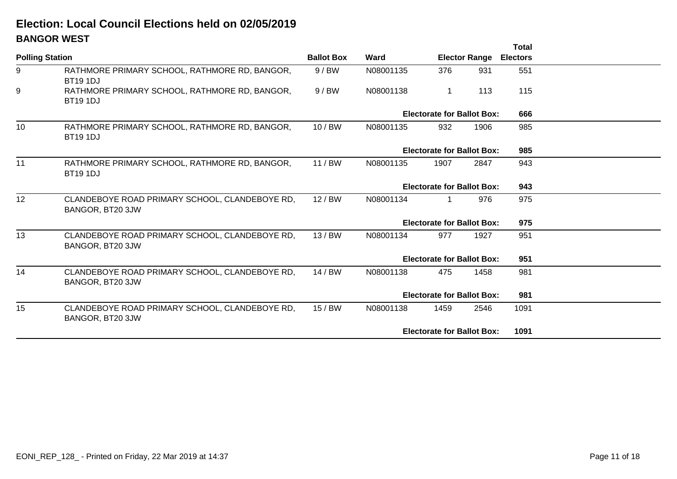# **BANGOR WESTElection: Local Council Elections held on 02/05/2019**

|                        |                                                                    |                   |           |                                   |                      | <b>Total</b>    |  |
|------------------------|--------------------------------------------------------------------|-------------------|-----------|-----------------------------------|----------------------|-----------------|--|
| <b>Polling Station</b> |                                                                    | <b>Ballot Box</b> | Ward      |                                   | <b>Elector Range</b> | <b>Electors</b> |  |
| 9                      | RATHMORE PRIMARY SCHOOL, RATHMORE RD, BANGOR,<br><b>BT19 1DJ</b>   | 9/BW              | N08001135 | 376                               | 931                  | 551             |  |
| 9                      | RATHMORE PRIMARY SCHOOL, RATHMORE RD, BANGOR,<br><b>BT19 1DJ</b>   | 9/BW              | N08001138 | $\mathbf{1}$                      | 113                  | 115             |  |
|                        |                                                                    |                   |           | <b>Electorate for Ballot Box:</b> |                      | 666             |  |
| 10                     | RATHMORE PRIMARY SCHOOL, RATHMORE RD, BANGOR,<br><b>BT19 1DJ</b>   | 10/BW             | N08001135 | 932                               | 1906                 | 985             |  |
|                        |                                                                    |                   |           | <b>Electorate for Ballot Box:</b> |                      | 985             |  |
| 11                     | RATHMORE PRIMARY SCHOOL, RATHMORE RD, BANGOR,<br><b>BT19 1DJ</b>   | 11/BW             | N08001135 | 1907                              | 2847                 | 943             |  |
|                        |                                                                    |                   |           | <b>Electorate for Ballot Box:</b> |                      | 943             |  |
| 12                     | CLANDEBOYE ROAD PRIMARY SCHOOL, CLANDEBOYE RD,<br>BANGOR, BT20 3JW | 12/BW             | N08001134 | 1                                 | 976                  | 975             |  |
|                        |                                                                    |                   |           | <b>Electorate for Ballot Box:</b> |                      | 975             |  |
| 13                     | CLANDEBOYE ROAD PRIMARY SCHOOL, CLANDEBOYE RD,<br>BANGOR, BT20 3JW | 13/BW             | N08001134 | 977                               | 1927                 | 951             |  |
|                        |                                                                    |                   |           | <b>Electorate for Ballot Box:</b> |                      | 951             |  |
| 14                     | CLANDEBOYE ROAD PRIMARY SCHOOL, CLANDEBOYE RD,<br>BANGOR, BT20 3JW | 14/BW             | N08001138 | 475                               | 1458                 | 981             |  |
|                        |                                                                    |                   |           | <b>Electorate for Ballot Box:</b> | 981                  |                 |  |
| 15                     | CLANDEBOYE ROAD PRIMARY SCHOOL, CLANDEBOYE RD,<br>BANGOR, BT20 3JW | 15/BW             | N08001138 | 1459                              | 2546                 | 1091            |  |
|                        |                                                                    |                   |           | <b>Electorate for Ballot Box:</b> |                      | 1091            |  |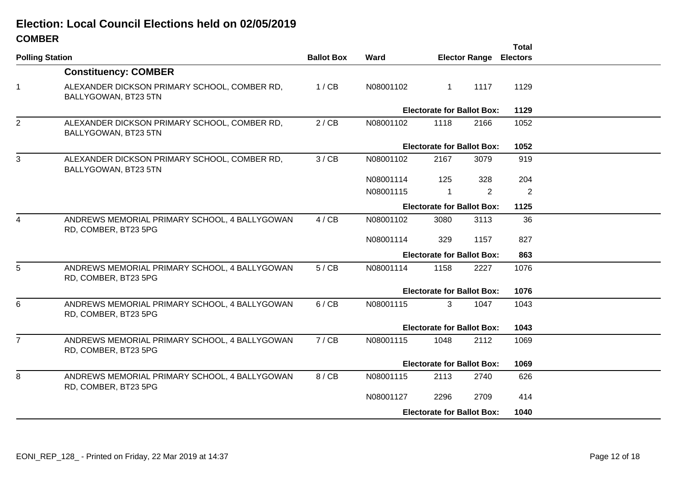#### **COMBERElection: Local Council Elections held on 02/05/2019**

|                                                                       |                        |                   |                      |                | Total                |                                                                                                                                                                                                                                                                                                                         |
|-----------------------------------------------------------------------|------------------------|-------------------|----------------------|----------------|----------------------|-------------------------------------------------------------------------------------------------------------------------------------------------------------------------------------------------------------------------------------------------------------------------------------------------------------------------|
|                                                                       |                        |                   |                      |                |                      |                                                                                                                                                                                                                                                                                                                         |
| <b>Constituency: COMBER</b>                                           |                        |                   |                      |                |                      |                                                                                                                                                                                                                                                                                                                         |
| ALEXANDER DICKSON PRIMARY SCHOOL, COMBER RD,<br>BALLYGOWAN, BT23 5TN  | 1/CB                   | N08001102         | $\mathbf{1}$         | 1117           | 1129                 |                                                                                                                                                                                                                                                                                                                         |
|                                                                       |                        |                   |                      |                | 1129                 |                                                                                                                                                                                                                                                                                                                         |
| ALEXANDER DICKSON PRIMARY SCHOOL, COMBER RD,<br>BALLYGOWAN, BT23 5TN  | 2/CB                   | N08001102         | 1118                 | 2166           | 1052                 |                                                                                                                                                                                                                                                                                                                         |
|                                                                       |                        |                   |                      |                | 1052                 |                                                                                                                                                                                                                                                                                                                         |
| ALEXANDER DICKSON PRIMARY SCHOOL, COMBER RD,<br>BALLYGOWAN, BT23 5TN  | 3 / CB                 | N08001102         | 2167                 | 3079           | 919                  |                                                                                                                                                                                                                                                                                                                         |
|                                                                       |                        | N08001114         | 125                  | 328            | 204                  |                                                                                                                                                                                                                                                                                                                         |
|                                                                       |                        | N08001115         | $\blacktriangleleft$ | $\overline{2}$ | 2                    |                                                                                                                                                                                                                                                                                                                         |
|                                                                       |                        |                   |                      | 1125           |                      |                                                                                                                                                                                                                                                                                                                         |
| ANDREWS MEMORIAL PRIMARY SCHOOL, 4 BALLYGOWAN<br>RD, COMBER, BT23 5PG | 4 / CB                 | N08001102         | 3080                 | 3113           | 36                   |                                                                                                                                                                                                                                                                                                                         |
|                                                                       |                        | N08001114         | 329                  | 1157           | 827                  |                                                                                                                                                                                                                                                                                                                         |
|                                                                       |                        |                   |                      |                | 863                  |                                                                                                                                                                                                                                                                                                                         |
| ANDREWS MEMORIAL PRIMARY SCHOOL, 4 BALLYGOWAN<br>RD, COMBER, BT23 5PG | 5/CB                   | N08001114         | 1158                 | 2227           | 1076                 |                                                                                                                                                                                                                                                                                                                         |
|                                                                       |                        |                   |                      |                | 1076                 |                                                                                                                                                                                                                                                                                                                         |
| ANDREWS MEMORIAL PRIMARY SCHOOL, 4 BALLYGOWAN<br>RD, COMBER, BT23 5PG | 6/CB                   | N08001115         | 3                    | 1047           | 1043                 |                                                                                                                                                                                                                                                                                                                         |
|                                                                       |                        |                   |                      |                | 1043                 |                                                                                                                                                                                                                                                                                                                         |
| ANDREWS MEMORIAL PRIMARY SCHOOL, 4 BALLYGOWAN<br>RD, COMBER, BT23 5PG | 7/CB                   | N08001115         | 1048                 | 2112           | 1069                 |                                                                                                                                                                                                                                                                                                                         |
|                                                                       |                        |                   |                      |                | 1069                 |                                                                                                                                                                                                                                                                                                                         |
| ANDREWS MEMORIAL PRIMARY SCHOOL, 4 BALLYGOWAN<br>RD, COMBER, BT23 5PG | 8 / CB                 | N08001115         | 2113                 | 2740           | 626                  |                                                                                                                                                                                                                                                                                                                         |
|                                                                       |                        | N08001127         | 2296                 | 2709           | 414                  |                                                                                                                                                                                                                                                                                                                         |
|                                                                       |                        |                   |                      |                | 1040                 |                                                                                                                                                                                                                                                                                                                         |
|                                                                       | <b>Polling Station</b> | <b>Ballot Box</b> | Ward                 |                | <b>Elector Range</b> | <b>Electors</b><br><b>Electorate for Ballot Box:</b><br><b>Electorate for Ballot Box:</b><br><b>Electorate for Ballot Box:</b><br><b>Electorate for Ballot Box:</b><br><b>Electorate for Ballot Box:</b><br><b>Electorate for Ballot Box:</b><br><b>Electorate for Ballot Box:</b><br><b>Electorate for Ballot Box:</b> |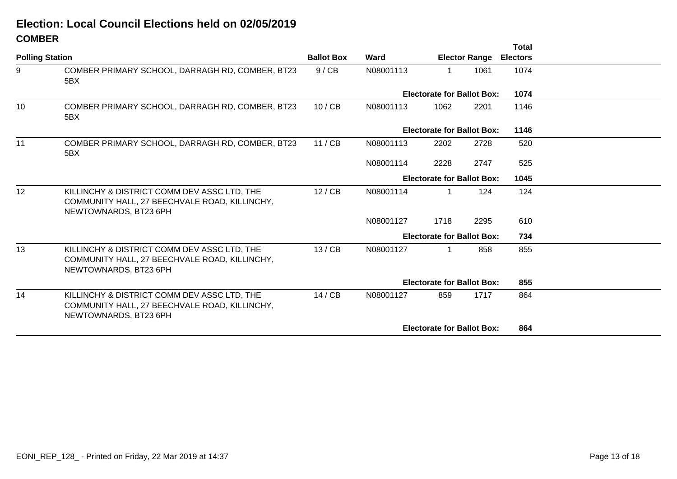#### **COMBERElection: Local Council Elections held on 02/05/2019**

|                        |                                                                                                                       |                   |                                   |                                   |                      | Total           |  |
|------------------------|-----------------------------------------------------------------------------------------------------------------------|-------------------|-----------------------------------|-----------------------------------|----------------------|-----------------|--|
| <b>Polling Station</b> |                                                                                                                       | <b>Ballot Box</b> | Ward                              |                                   | <b>Elector Range</b> | <b>Electors</b> |  |
| 9                      | COMBER PRIMARY SCHOOL, DARRAGH RD, COMBER, BT23<br>5BX                                                                | 9 / CB            | N08001113                         | 1                                 | 1061                 | 1074            |  |
|                        |                                                                                                                       |                   |                                   | <b>Electorate for Ballot Box:</b> |                      | 1074            |  |
| 10                     | COMBER PRIMARY SCHOOL, DARRAGH RD, COMBER, BT23<br>5BX                                                                | 10 / CB           | N08001113                         | 1062                              | 2201                 | 1146            |  |
|                        |                                                                                                                       |                   |                                   | <b>Electorate for Ballot Box:</b> |                      | 1146            |  |
| 11                     | COMBER PRIMARY SCHOOL, DARRAGH RD, COMBER, BT23<br>5BX                                                                | 11 / CB           | N08001113                         | 2202                              | 2728                 | 520             |  |
|                        |                                                                                                                       |                   | N08001114                         | 2228                              | 2747                 | 525             |  |
|                        |                                                                                                                       |                   |                                   | <b>Electorate for Ballot Box:</b> |                      |                 |  |
| 12                     | KILLINCHY & DISTRICT COMM DEV ASSC LTD, THE<br>COMMUNITY HALL, 27 BEECHVALE ROAD, KILLINCHY,<br>NEWTOWNARDS, BT23 6PH | 12 / CB           | N08001114                         | 1                                 | 124                  | 124             |  |
|                        |                                                                                                                       |                   | N08001127                         | 1718                              | 2295                 | 610             |  |
|                        |                                                                                                                       |                   |                                   | <b>Electorate for Ballot Box:</b> |                      | 734             |  |
| 13                     | KILLINCHY & DISTRICT COMM DEV ASSC LTD, THE<br>COMMUNITY HALL, 27 BEECHVALE ROAD, KILLINCHY,<br>NEWTOWNARDS, BT23 6PH | 13 / CB           | N08001127                         | 1                                 | 858                  | 855             |  |
|                        |                                                                                                                       |                   | <b>Electorate for Ballot Box:</b> |                                   |                      |                 |  |
| 14                     | KILLINCHY & DISTRICT COMM DEV ASSC LTD, THE<br>COMMUNITY HALL, 27 BEECHVALE ROAD, KILLINCHY,<br>NEWTOWNARDS, BT23 6PH | 14 / CB           | N08001127                         | 859                               | 1717                 | 864             |  |
|                        |                                                                                                                       |                   |                                   | <b>Electorate for Ballot Box:</b> |                      | 864             |  |
|                        |                                                                                                                       |                   |                                   |                                   |                      |                 |  |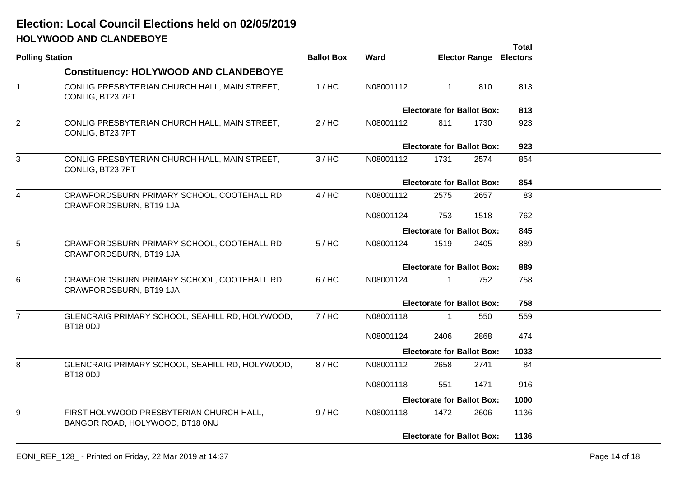# **HOLYWOOD AND CLANDEBOYEElection: Local Council Elections held on 02/05/2019**

|                        |                                                                             |                                          |           |                                   |                      | <b>Total</b>    |  |
|------------------------|-----------------------------------------------------------------------------|------------------------------------------|-----------|-----------------------------------|----------------------|-----------------|--|
| <b>Polling Station</b> |                                                                             | <b>Ballot Box</b>                        | Ward      |                                   | <b>Elector Range</b> | <b>Electors</b> |  |
|                        | <b>Constituency: HOLYWOOD AND CLANDEBOYE</b>                                |                                          |           |                                   |                      |                 |  |
| $\overline{1}$         | CONLIG PRESBYTERIAN CHURCH HALL, MAIN STREET,<br>CONLIG, BT23 7PT           | 1/HC                                     | N08001112 | $\mathbf{1}$                      | 810                  | 813             |  |
|                        |                                                                             |                                          |           | <b>Electorate for Ballot Box:</b> |                      | 813             |  |
| $\overline{2}$         | CONLIG PRESBYTERIAN CHURCH HALL, MAIN STREET,<br>CONLIG, BT23 7PT           | 2/HC                                     | N08001112 | 811                               | 1730                 | 923             |  |
|                        |                                                                             |                                          |           | <b>Electorate for Ballot Box:</b> |                      | 923             |  |
| 3                      | CONLIG PRESBYTERIAN CHURCH HALL, MAIN STREET,<br>CONLIG, BT23 7PT           | 3/HC                                     | N08001112 | 1731                              | 2574                 | 854             |  |
|                        |                                                                             |                                          |           | <b>Electorate for Ballot Box:</b> |                      | 854             |  |
| $\overline{4}$         | CRAWFORDSBURN PRIMARY SCHOOL, COOTEHALL RD,<br>CRAWFORDSBURN, BT19 1JA      | 4/HC                                     | N08001112 | 2575                              | 2657                 | 83              |  |
|                        |                                                                             |                                          | N08001124 | 753                               | 1518                 | 762             |  |
|                        |                                                                             | <b>Electorate for Ballot Box:</b><br>845 |           |                                   |                      |                 |  |
| 5                      | CRAWFORDSBURN PRIMARY SCHOOL, COOTEHALL RD,<br>CRAWFORDSBURN, BT19 1JA      | $5/$ HC                                  | N08001124 | 1519                              | 2405                 | 889             |  |
|                        |                                                                             |                                          |           | <b>Electorate for Ballot Box:</b> |                      | 889             |  |
| 6                      | CRAWFORDSBURN PRIMARY SCHOOL, COOTEHALL RD,<br>CRAWFORDSBURN, BT19 1JA      | 6/HC                                     | N08001124 | $\mathbf{1}$                      | 752                  | 758             |  |
|                        |                                                                             |                                          |           | <b>Electorate for Ballot Box:</b> |                      | 758             |  |
| $\overline{7}$         | GLENCRAIG PRIMARY SCHOOL, SEAHILL RD, HOLYWOOD,<br><b>BT18 0DJ</b>          | 7/HC                                     | N08001118 | $\mathbf 1$                       | 550                  | 559             |  |
|                        |                                                                             |                                          | N08001124 | 2406                              | 2868                 | 474             |  |
|                        |                                                                             |                                          |           | <b>Electorate for Ballot Box:</b> |                      | 1033            |  |
| 8                      | GLENCRAIG PRIMARY SCHOOL, SEAHILL RD, HOLYWOOD,<br><b>BT18 0DJ</b>          | 8/HC                                     | N08001112 | 2658                              | 2741                 | 84              |  |
|                        |                                                                             |                                          | N08001118 | 551                               | 1471                 | 916             |  |
|                        |                                                                             |                                          |           | <b>Electorate for Ballot Box:</b> |                      | 1000            |  |
| 9                      | FIRST HOLYWOOD PRESBYTERIAN CHURCH HALL,<br>BANGOR ROAD, HOLYWOOD, BT18 0NU | 9/HC                                     | N08001118 | 1472                              | 2606                 | 1136            |  |
|                        |                                                                             |                                          |           | <b>Electorate for Ballot Box:</b> |                      | 1136            |  |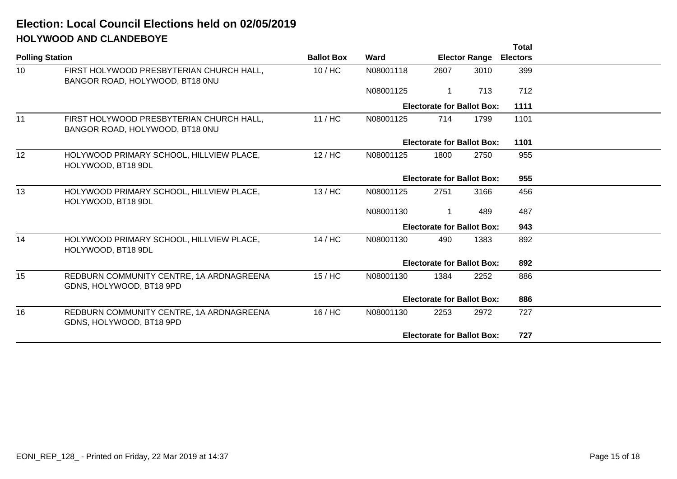# **HOLYWOOD AND CLANDEBOYEElection: Local Council Elections held on 02/05/2019**

|                                                                             |                        |           |                      |      | <b>Total</b>    |                                                                                                                                                                                                                                                                 |
|-----------------------------------------------------------------------------|------------------------|-----------|----------------------|------|-----------------|-----------------------------------------------------------------------------------------------------------------------------------------------------------------------------------------------------------------------------------------------------------------|
|                                                                             | <b>Ballot Box</b>      | Ward      | <b>Elector Range</b> |      | <b>Electors</b> |                                                                                                                                                                                                                                                                 |
| FIRST HOLYWOOD PRESBYTERIAN CHURCH HALL,<br>BANGOR ROAD, HOLYWOOD, BT18 0NU | $10/$ HC               | N08001118 | 2607                 | 3010 | 399             |                                                                                                                                                                                                                                                                 |
|                                                                             |                        | N08001125 | $\mathbf 1$          | 713  | 712             |                                                                                                                                                                                                                                                                 |
|                                                                             |                        |           |                      |      | 1111            |                                                                                                                                                                                                                                                                 |
| FIRST HOLYWOOD PRESBYTERIAN CHURCH HALL,<br>BANGOR ROAD, HOLYWOOD, BT18 0NU | 11/HC                  | N08001125 | 714                  | 1799 | 1101            |                                                                                                                                                                                                                                                                 |
|                                                                             |                        |           |                      |      | 1101            |                                                                                                                                                                                                                                                                 |
| HOLYWOOD PRIMARY SCHOOL, HILLVIEW PLACE,<br>HOLYWOOD, BT18 9DL              | $12/$ HC               | N08001125 | 1800                 | 2750 | 955             |                                                                                                                                                                                                                                                                 |
|                                                                             |                        |           |                      |      | 955             |                                                                                                                                                                                                                                                                 |
| HOLYWOOD PRIMARY SCHOOL, HILLVIEW PLACE,<br>HOLYWOOD, BT18 9DL              | 13/HC                  | N08001125 | 2751                 | 3166 | 456             |                                                                                                                                                                                                                                                                 |
|                                                                             |                        | N08001130 | 1                    | 489  | 487             |                                                                                                                                                                                                                                                                 |
|                                                                             |                        |           |                      |      | 943             |                                                                                                                                                                                                                                                                 |
| HOLYWOOD PRIMARY SCHOOL, HILLVIEW PLACE,<br>HOLYWOOD, BT18 9DL              | 14/HC                  | N08001130 | 490                  | 1383 | 892             |                                                                                                                                                                                                                                                                 |
|                                                                             |                        |           |                      |      | 892             |                                                                                                                                                                                                                                                                 |
| REDBURN COMMUNITY CENTRE, 1A ARDNAGREENA<br>GDNS, HOLYWOOD, BT18 9PD        | $15/$ HC               | N08001130 | 1384                 | 2252 | 886             |                                                                                                                                                                                                                                                                 |
|                                                                             |                        |           |                      |      | 886             |                                                                                                                                                                                                                                                                 |
| REDBURN COMMUNITY CENTRE, 1A ARDNAGREENA<br>GDNS, HOLYWOOD, BT18 9PD        | 16/HC                  | N08001130 | 2253                 | 2972 | 727             |                                                                                                                                                                                                                                                                 |
|                                                                             |                        |           |                      |      | 727             |                                                                                                                                                                                                                                                                 |
|                                                                             | <b>Polling Station</b> |           |                      |      |                 | <b>Electorate for Ballot Box:</b><br><b>Electorate for Ballot Box:</b><br><b>Electorate for Ballot Box:</b><br><b>Electorate for Ballot Box:</b><br><b>Electorate for Ballot Box:</b><br><b>Electorate for Ballot Box:</b><br><b>Electorate for Ballot Box:</b> |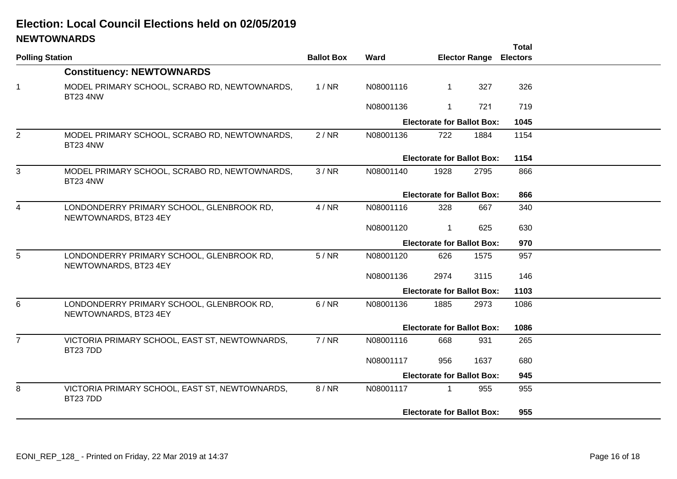# **NEWTOWNARDSElection: Local Council Elections held on 02/05/2019**

|                        | $\frac{1}{2}$                                                      |                   |             |                                   |                      | <b>Total</b>    |  |
|------------------------|--------------------------------------------------------------------|-------------------|-------------|-----------------------------------|----------------------|-----------------|--|
| <b>Polling Station</b> |                                                                    | <b>Ballot Box</b> | <b>Ward</b> |                                   | <b>Elector Range</b> | <b>Electors</b> |  |
|                        | <b>Constituency: NEWTOWNARDS</b>                                   |                   |             |                                   |                      |                 |  |
| $\mathbf 1$            | MODEL PRIMARY SCHOOL, SCRABO RD, NEWTOWNARDS,<br><b>BT23 4NW</b>   | 1/NR              | N08001116   | $\mathbf 1$                       | 327                  | 326             |  |
|                        |                                                                    |                   | N08001136   | 1                                 | 721                  | 719             |  |
|                        |                                                                    |                   |             | <b>Electorate for Ballot Box:</b> |                      | 1045            |  |
| 2                      | MODEL PRIMARY SCHOOL, SCRABO RD, NEWTOWNARDS,<br><b>BT23 4NW</b>   | 2/NR              | N08001136   | 722                               | 1884                 | 1154            |  |
|                        |                                                                    |                   |             | <b>Electorate for Ballot Box:</b> |                      | 1154            |  |
| 3                      | MODEL PRIMARY SCHOOL, SCRABO RD, NEWTOWNARDS,<br><b>BT23 4NW</b>   | 3/NR              | N08001140   | 1928                              | 2795                 | 866             |  |
|                        |                                                                    |                   |             | <b>Electorate for Ballot Box:</b> |                      | 866             |  |
| 4                      | LONDONDERRY PRIMARY SCHOOL, GLENBROOK RD,<br>NEWTOWNARDS, BT23 4EY | 4/NR              | N08001116   | 328                               | 667                  | 340             |  |
|                        |                                                                    |                   | N08001120   | 1                                 | 625                  | 630             |  |
|                        |                                                                    |                   |             | <b>Electorate for Ballot Box:</b> |                      | 970             |  |
| 5                      | LONDONDERRY PRIMARY SCHOOL, GLENBROOK RD,<br>NEWTOWNARDS, BT23 4EY | 5/NR              | N08001120   | 626                               | 1575                 | 957             |  |
|                        |                                                                    |                   | N08001136   | 2974                              | 3115                 | 146             |  |
|                        |                                                                    |                   |             | <b>Electorate for Ballot Box:</b> |                      | 1103            |  |
| 6                      | LONDONDERRY PRIMARY SCHOOL, GLENBROOK RD,<br>NEWTOWNARDS, BT23 4EY | 6/NR              | N08001136   | 1885                              | 2973                 | 1086            |  |
|                        |                                                                    |                   |             | <b>Electorate for Ballot Box:</b> |                      | 1086            |  |
| $\overline{7}$         | VICTORIA PRIMARY SCHOOL, EAST ST, NEWTOWNARDS,<br><b>BT237DD</b>   | 7/NR              | N08001116   | 668                               | 931                  | 265             |  |
|                        |                                                                    |                   | N08001117   | 956                               | 1637                 | 680             |  |
|                        |                                                                    |                   |             | <b>Electorate for Ballot Box:</b> |                      | 945             |  |
| 8                      | VICTORIA PRIMARY SCHOOL, EAST ST, NEWTOWNARDS,<br><b>BT23 7DD</b>  | 8 / NR            | N08001117   | $\mathbf 1$                       | 955                  | 955             |  |
|                        |                                                                    |                   |             | <b>Electorate for Ballot Box:</b> |                      | 955             |  |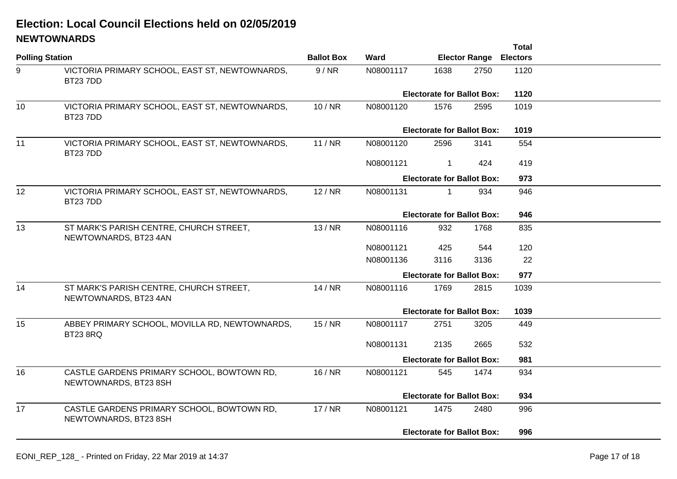## **NEWTOWNARDSElection: Local Council Elections held on 02/05/2019**

|                        |                                                                     |                   |                                   |                                   |      | <b>Total</b> |  |
|------------------------|---------------------------------------------------------------------|-------------------|-----------------------------------|-----------------------------------|------|--------------|--|
| <b>Polling Station</b> |                                                                     | <b>Ballot Box</b> | Ward                              | <b>Elector Range Electors</b>     |      |              |  |
| 9                      | VICTORIA PRIMARY SCHOOL, EAST ST, NEWTOWNARDS,<br><b>BT237DD</b>    | 9/NR              | N08001117                         | 1638                              | 2750 | 1120         |  |
|                        |                                                                     |                   |                                   | <b>Electorate for Ballot Box:</b> |      |              |  |
| 10                     | VICTORIA PRIMARY SCHOOL, EAST ST, NEWTOWNARDS,<br><b>BT237DD</b>    | 10/NR             | N08001120                         | 1576                              | 2595 | 1019         |  |
|                        |                                                                     |                   |                                   | <b>Electorate for Ballot Box:</b> |      | 1019         |  |
| 11                     | VICTORIA PRIMARY SCHOOL, EAST ST, NEWTOWNARDS,<br><b>BT237DD</b>    | 11/NR             | N08001120                         | 2596                              | 3141 | 554          |  |
|                        |                                                                     |                   | N08001121                         | $\mathbf 1$                       | 424  | 419          |  |
|                        |                                                                     |                   |                                   | <b>Electorate for Ballot Box:</b> |      | 973          |  |
| 12                     | VICTORIA PRIMARY SCHOOL, EAST ST, NEWTOWNARDS,<br>BT237DD           | 12/NR             | N08001131                         | 1                                 | 934  | 946          |  |
|                        |                                                                     |                   |                                   | <b>Electorate for Ballot Box:</b> |      | 946          |  |
| 13                     | ST MARK'S PARISH CENTRE, CHURCH STREET,<br>NEWTOWNARDS, BT23 4AN    | 13/NR             | N08001116                         | 932                               | 1768 | 835          |  |
|                        |                                                                     |                   | N08001121                         | 425                               | 544  | 120          |  |
|                        |                                                                     |                   | N08001136                         | 3116                              | 3136 | 22           |  |
|                        |                                                                     |                   |                                   | <b>Electorate for Ballot Box:</b> |      | 977          |  |
| 14                     | ST MARK'S PARISH CENTRE, CHURCH STREET,<br>NEWTOWNARDS, BT23 4AN    | 14/NR             | N08001116                         | 1769                              | 2815 | 1039         |  |
|                        |                                                                     |                   |                                   | <b>Electorate for Ballot Box:</b> |      | 1039         |  |
| 15                     | ABBEY PRIMARY SCHOOL, MOVILLA RD, NEWTOWNARDS,<br><b>BT23 8RQ</b>   | 15/NR             | N08001117                         | 2751                              | 3205 | 449          |  |
|                        |                                                                     |                   | N08001131                         | 2135                              | 2665 | 532          |  |
|                        |                                                                     |                   |                                   | <b>Electorate for Ballot Box:</b> |      | 981          |  |
| 16                     | CASTLE GARDENS PRIMARY SCHOOL, BOWTOWN RD,<br>NEWTOWNARDS, BT23 8SH | 16/NR             | N08001121                         | 545                               | 1474 | 934          |  |
|                        |                                                                     |                   | <b>Electorate for Ballot Box:</b> |                                   |      | 934          |  |
| 17                     | CASTLE GARDENS PRIMARY SCHOOL, BOWTOWN RD,<br>NEWTOWNARDS, BT23 8SH | 17/NR             | N08001121                         | 1475                              | 2480 | 996          |  |
|                        |                                                                     |                   |                                   | <b>Electorate for Ballot Box:</b> |      | 996          |  |